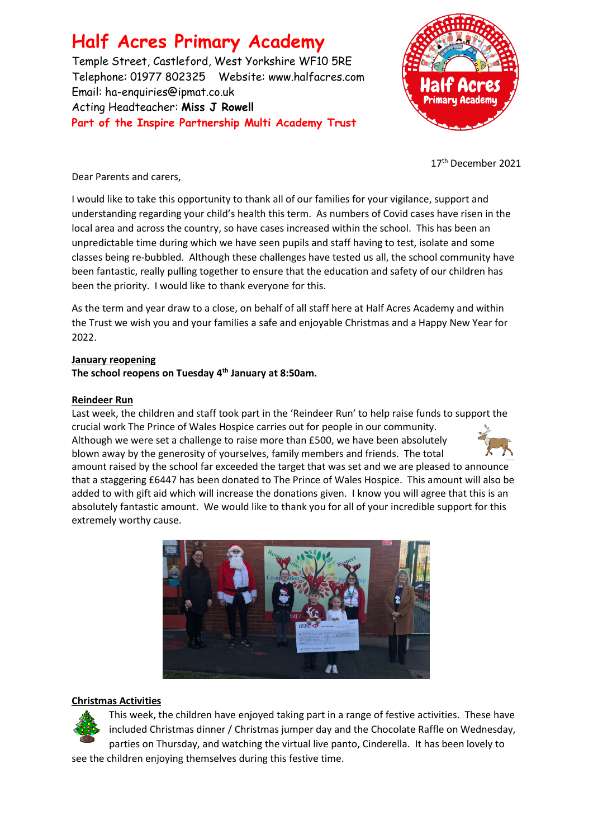**Half Acres Primary Academy** Temple Street, Castleford, West Yorkshire WF10 5RE Telephone: 01977 802325 Website: [www.halfacres.com](http://www.halfacres.com/) Email: ha-enquiries@ipmat.co.uk Acting Headteacher: **Miss J Rowell Part of the Inspire Partnership Multi Academy Trust**



17<sup>th</sup> December 2021

Dear Parents and carers,

I would like to take this opportunity to thank all of our families for your vigilance, support and understanding regarding your child's health this term. As numbers of Covid cases have risen in the local area and across the country, so have cases increased within the school. This has been an unpredictable time during which we have seen pupils and staff having to test, isolate and some classes being re-bubbled. Although these challenges have tested us all, the school community have been fantastic, really pulling together to ensure that the education and safety of our children has been the priority. I would like to thank everyone for this.

As the term and year draw to a close, on behalf of all staff here at Half Acres Academy and within the Trust we wish you and your families a safe and enjoyable Christmas and a Happy New Year for 2022.

# **January reopening**

**The school reopens on Tuesday 4th January at 8:50am.**

# **Reindeer Run**

Last week, the children and staff took part in the 'Reindeer Run' to help raise funds to support the crucial work The Prince of Wales Hospice carries out for people in our community. Although we were set a challenge to raise more than £500, we have been absolutely

blown away by the generosity of yourselves, family members and friends. The total



amount raised by the school far exceeded the target that was set and we are pleased to announce that a staggering £6447 has been donated to The Prince of Wales Hospice. This amount will also be added to with gift aid which will increase the donations given. I know you will agree that this is an absolutely fantastic amount. We would like to thank you for all of your incredible support for this extremely worthy cause.



### **Christmas Activities**



This week, the children have enjoyed taking part in a range of festive activities. These have included Christmas dinner / Christmas jumper day and the Chocolate Raffle on Wednesday, parties on Thursday, and watching the virtual live panto, Cinderella. It has been lovely to

see the children enjoying themselves during this festive time.